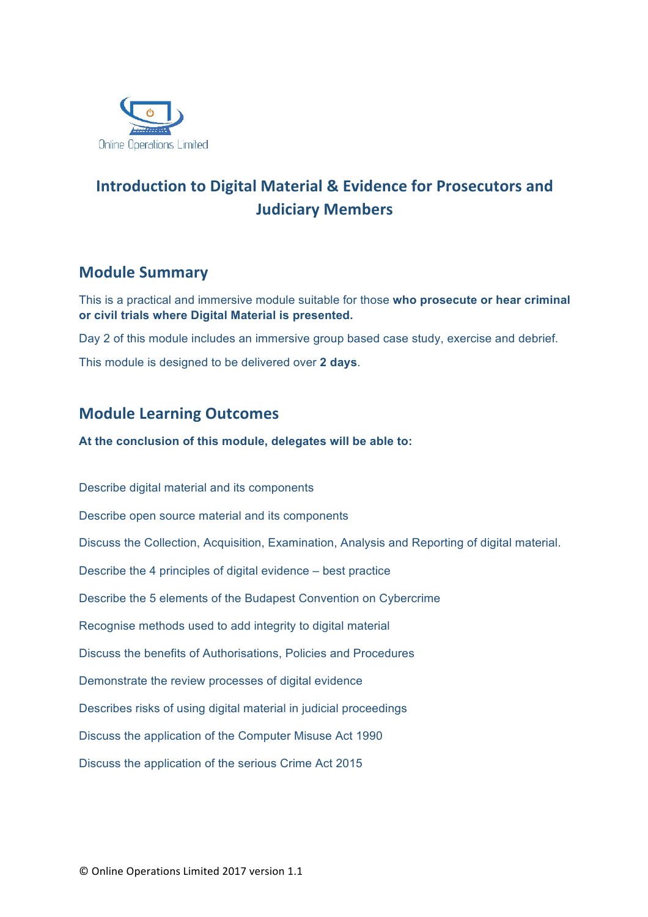

# **Introduction to Digital Material & Evidence for Prosecutors and Judiciary Members**

## **Module Summary**

This is a practical and immersive module suitable for those **who prosecute or hear criminal or civil trials where Digital Material is presented.**

Day 2 of this module includes an immersive group based case study, exercise and debrief. This module is designed to be delivered over **2 days**.

## **Module Learning Outcomes**

**At the conclusion of this module, delegates will be able to:**

Describe digital material and its components Describe open source material and its components Discuss the Collection, Acquisition, Examination, Analysis and Reporting of digital material. Describe the 4 principles of digital evidence – best practice Describe the 5 elements of the Budapest Convention on Cybercrime Recognise methods used to add integrity to digital material Discuss the benefits of Authorisations, Policies and Procedures Demonstrate the review processes of digital evidence Describes risks of using digital material in judicial proceedings Discuss the application of the Computer Misuse Act 1990 Discuss the application of the serious Crime Act 2015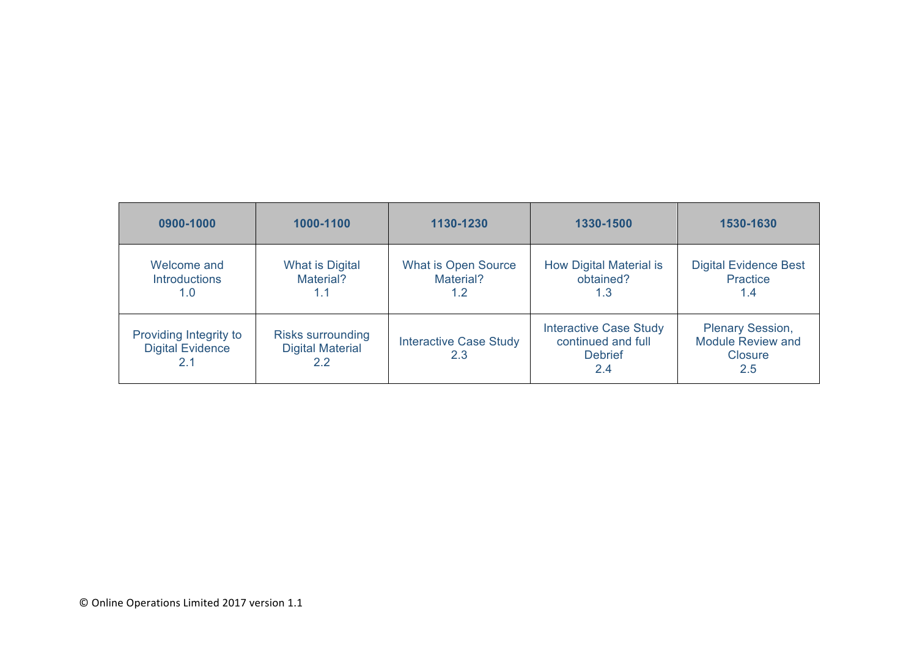| 0900-1000                                                | 1000-1100                                                  | 1130-1230                                      | 1330-1500                                                                    | 1530-1630                                                             |
|----------------------------------------------------------|------------------------------------------------------------|------------------------------------------------|------------------------------------------------------------------------------|-----------------------------------------------------------------------|
| Welcome and<br><b>Introductions</b><br>1.0               | What is Digital<br>Material?<br>1.1                        | <b>What is Open Source</b><br>Material?<br>1.2 | <b>How Digital Material is</b><br>obtained?<br>1.3                           | <b>Digital Evidence Best</b><br>Practice<br>1.4                       |
| Providing Integrity to<br><b>Digital Evidence</b><br>2.1 | <b>Risks surrounding</b><br><b>Digital Material</b><br>2.2 | <b>Interactive Case Study</b><br>2.3           | <b>Interactive Case Study</b><br>continued and full<br><b>Debrief</b><br>2.4 | <b>Plenary Session,</b><br><b>Module Review and</b><br>Closure<br>2.5 |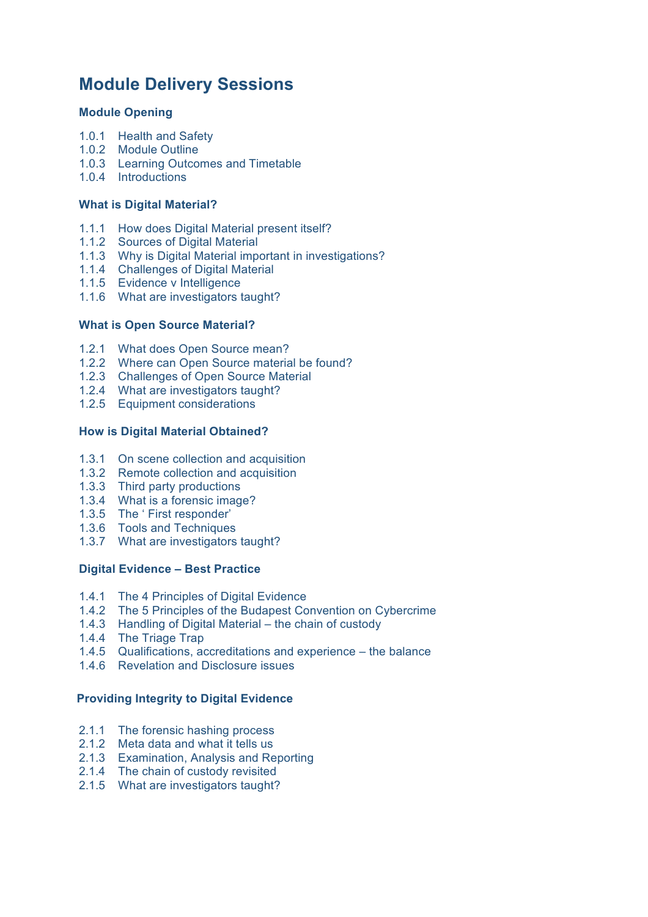## **Module Delivery Sessions**

#### **Module Opening**

- 1.0.1 Health and Safety
- 1.0.2 Module Outline
- 1.0.3 Learning Outcomes and Timetable
- 1.0.4 Introductions

#### **What is Digital Material?**

- 1.1.1 How does Digital Material present itself?
- 1.1.2 Sources of Digital Material
- 1.1.3 Why is Digital Material important in investigations?
- 1.1.4 Challenges of Digital Material
- 1.1.5 Evidence v Intelligence
- 1.1.6 What are investigators taught?

#### **What is Open Source Material?**

- 1.2.1 What does Open Source mean?
- 1.2.2 Where can Open Source material be found?
- 1.2.3 Challenges of Open Source Material
- 1.2.4 What are investigators taught?
- 1.2.5 Equipment considerations

#### **How is Digital Material Obtained?**

- 1.3.1 On scene collection and acquisition
- 1.3.2 Remote collection and acquisition
- 1.3.3 Third party productions
- 1.3.4 What is a forensic image?
- 1.3.5 The ' First responder'
- 1.3.6 Tools and Techniques
- 1.3.7 What are investigators taught?

#### **Digital Evidence – Best Practice**

- 1.4.1 The 4 Principles of Digital Evidence
- 1.4.2 The 5 Principles of the Budapest Convention on Cybercrime
- 1.4.3 Handling of Digital Material the chain of custody
- 1.4.4 The Triage Trap
- 1.4.5 Qualifications, accreditations and experience the balance
- 1.4.6 Revelation and Disclosure issues

#### **Providing Integrity to Digital Evidence**

- 2.1.1 The forensic hashing process
- 2.1.2 Meta data and what it tells us
- 2.1.3 Examination, Analysis and Reporting
- 2.1.4 The chain of custody revisited
- 2.1.5 What are investigators taught?